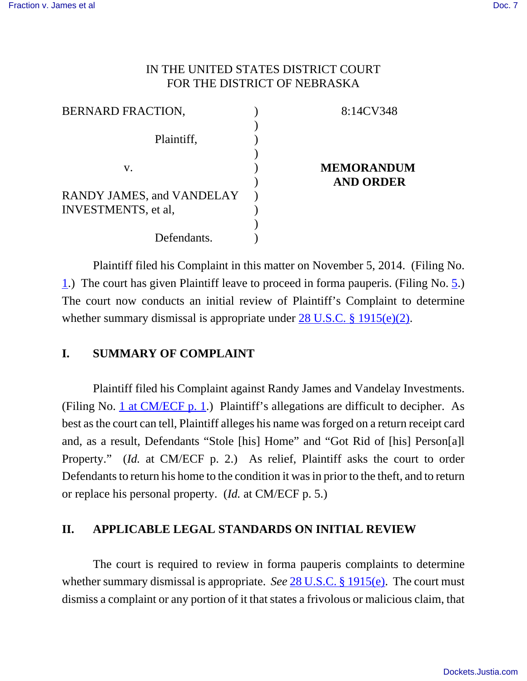# IN THE UNITED STATES DISTRICT COURT FOR THE DISTRICT OF NEBRASKA

| <b>BERNARD FRACTION,</b>                                        | 8:14CV348         |
|-----------------------------------------------------------------|-------------------|
| Plaintiff,                                                      |                   |
| V.                                                              | <b>MEMORANDUM</b> |
|                                                                 | <b>AND ORDER</b>  |
| <b>RANDY JAMES, and VANDELAY</b><br><b>INVESTMENTS</b> , et al, |                   |
|                                                                 |                   |
| Defendants.                                                     |                   |

Plaintiff filed his Complaint in this matter on November 5, 2014. (Filing No. 1.) The court has given Plaintiff leave to proceed in forma pauperis. (Filing No. 5.) The court now conducts an initial review of Plaintiff's Complaint to determine whether summary dismissal is appropriate under 28 U.S.C. § 1915(e)(2).

# **I. SUMMARY OF COMPLAINT**

Plaintiff filed his Complaint against Randy James and Vandelay Investments. (Filing No. 1 at CM/ECF p. 1.) Plaintiff's allegations are difficult to decipher. As best as the court can tell, Plaintiff alleges his name was forged on a return receipt card and, as a result, Defendants "Stole [his] Home" and "Got Rid of [his] Person[a]l Property." (*Id.* at CM/ECF p. 2.) As relief, Plaintiff asks the court to order Defendants to return his home to the condition it was in prior to the theft, and to return or replace his personal property. (*Id.* at CM/ECF p. 5.)

# **II. APPLICABLE LEGAL STANDARDS ON INITIAL REVIEW**

The court is required to review in forma pauperis complaints to determine whether summary dismissal is appropriate. *See* 28 U.S.C. § 1915(e). The court must dismiss a complaint or any portion of it that states a frivolous or malicious claim, that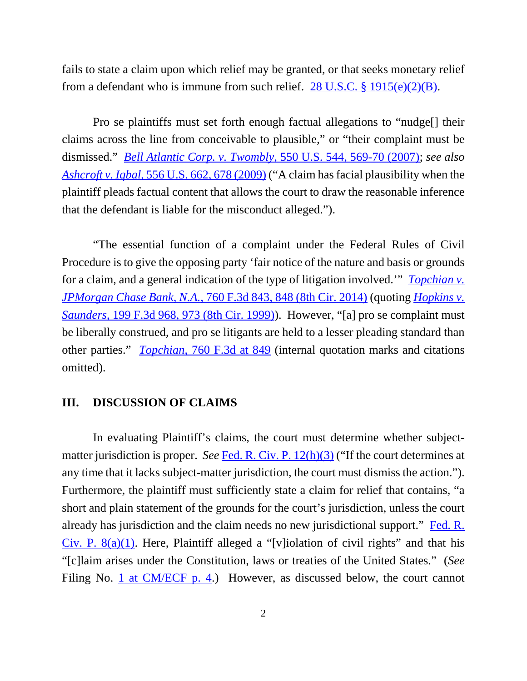fails to state a claim upon which relief may be granted, or that seeks monetary relief from a defendant who is immune from such relief.  $28 \text{ U.S.C.}$  §  $1915(e)(2)(B)$ .

Pro se plaintiffs must set forth enough factual allegations to "nudge[] their claims across the line from conceivable to plausible," or "their complaint must be dismissed." *Bell Atlantic Corp. v. Twombly*, 550 U.S. 544, 569-70 (2007); *see also Ashcroft v. Iqbal*, 556 U.S. 662, 678 (2009) ("A claim has facial plausibility when the plaintiff pleads factual content that allows the court to draw the reasonable inference that the defendant is liable for the misconduct alleged.").

"The essential function of a complaint under the Federal Rules of Civil Procedure is to give the opposing party 'fair notice of the nature and basis or grounds for a claim, and a general indication of the type of litigation involved.'" *Topchian v. JPMorgan Chase Bank, N.A.*, 760 F.3d 843, 848 (8th Cir. 2014) (quoting *Hopkins v. Saunders*, 199 F.3d 968, 973 (8th Cir. 1999)). However, "[a] pro se complaint must be liberally construed, and pro se litigants are held to a lesser pleading standard than other parties." *Topchian*, 760 F.3d at 849 (internal quotation marks and citations omitted).

#### **III. DISCUSSION OF CLAIMS**

In evaluating Plaintiff's claims, the court must determine whether subjectmatter jurisdiction is proper. *See* Fed. R. Civ. P. 12(h)(3) ("If the court determines at any time that it lacks subject-matter jurisdiction, the court must dismiss the action."). Furthermore, the plaintiff must sufficiently state a claim for relief that contains, "a short and plain statement of the grounds for the court's jurisdiction, unless the court already has jurisdiction and the claim needs no new jurisdictional support." Fed. R. Civ. P.  $8(a)(1)$ . Here, Plaintiff alleged a "[v]iolation of civil rights" and that his "[c]laim arises under the Constitution, laws or treaties of the United States." (*See* Filing No. 1 at CM/ECF p. 4.) However, as discussed below, the court cannot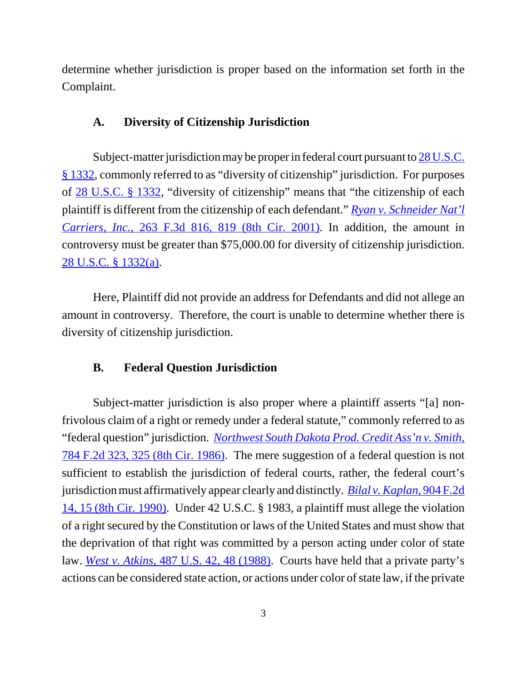determine whether jurisdiction is proper based on the information set forth in the Complaint.

### **A. Diversity of Citizenship Jurisdiction**

Subject-matter jurisdiction may be proper in federal court pursuant to 28 U.S.C. § 1332, commonly referred to as "diversity of citizenship" jurisdiction. For purposes of 28 U.S.C. § 1332, "diversity of citizenship" means that "the citizenship of each plaintiff is different from the citizenship of each defendant." *Ryan v. Schneider Nat'l Carriers, Inc.*, 263 F.3d 816, 819 (8th Cir. 2001). In addition, the amount in controversy must be greater than \$75,000.00 for diversity of citizenship jurisdiction. 28 U.S.C. § 1332(a).

Here, Plaintiff did not provide an address for Defendants and did not allege an amount in controversy. Therefore, the court is unable to determine whether there is diversity of citizenship jurisdiction.

# **B. Federal Question Jurisdiction**

Subject-matter jurisdiction is also proper where a plaintiff asserts "[a] nonfrivolous claim of a right or remedy under a federal statute," commonly referred to as "federal question" jurisdiction. *Northwest South Dakota Prod. Credit Ass'n v. Smith*, 784 F.2d 323, 325 (8th Cir. 1986). The mere suggestion of a federal question is not sufficient to establish the jurisdiction of federal courts, rather, the federal court's jurisdiction must affirmatively appear clearly and distinctly. *Bilal v. Kaplan*, 904 F.2d 14, 15 (8th Cir. 1990). Under 42 U.S.C. § 1983, a plaintiff must allege the violation of a right secured by the Constitution or laws of the United States and must show that the deprivation of that right was committed by a person acting under color of state law. *West v. Atkins*, 487 U.S. 42, 48 (1988). Courts have held that a private party's actions can be considered state action, or actions under color of state law, if the private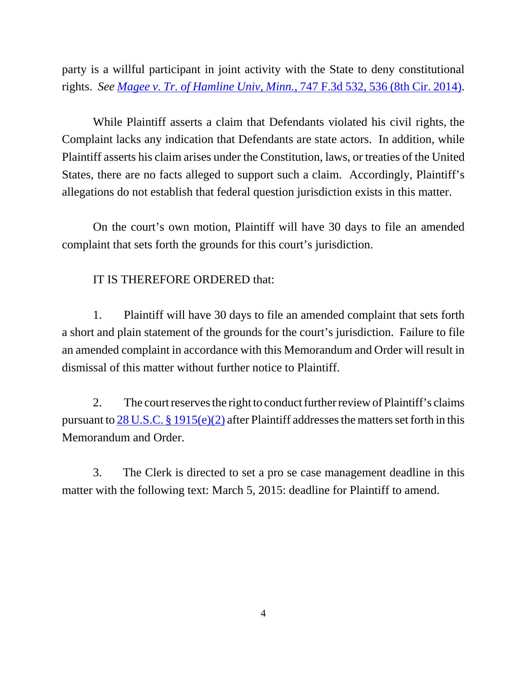party is a willful participant in joint activity with the State to deny constitutional rights. *See Magee v. Tr. of Hamline Univ, Minn.*, 747 F.3d 532, 536 (8th Cir. 2014).

 While Plaintiff asserts a claim that Defendants violated his civil rights, the Complaint lacks any indication that Defendants are state actors. In addition, while Plaintiff asserts his claim arises under the Constitution, laws, or treaties of the United States, there are no facts alleged to support such a claim. Accordingly, Plaintiff's allegations do not establish that federal question jurisdiction exists in this matter.

On the court's own motion, Plaintiff will have 30 days to file an amended complaint that sets forth the grounds for this court's jurisdiction.

### IT IS THEREFORE ORDERED that:

1. Plaintiff will have 30 days to file an amended complaint that sets forth a short and plain statement of the grounds for the court's jurisdiction. Failure to file an amended complaint in accordance with this Memorandum and Order will result in dismissal of this matter without further notice to Plaintiff.

2. The court reserves the right to conduct further review of Plaintiff's claims pursuant to  $28 \text{ U.S.C.}$  §  $1915(e)(2)$  after Plaintiff addresses the matters set forth in this Memorandum and Order.

3. The Clerk is directed to set a pro se case management deadline in this matter with the following text: March 5, 2015: deadline for Plaintiff to amend.